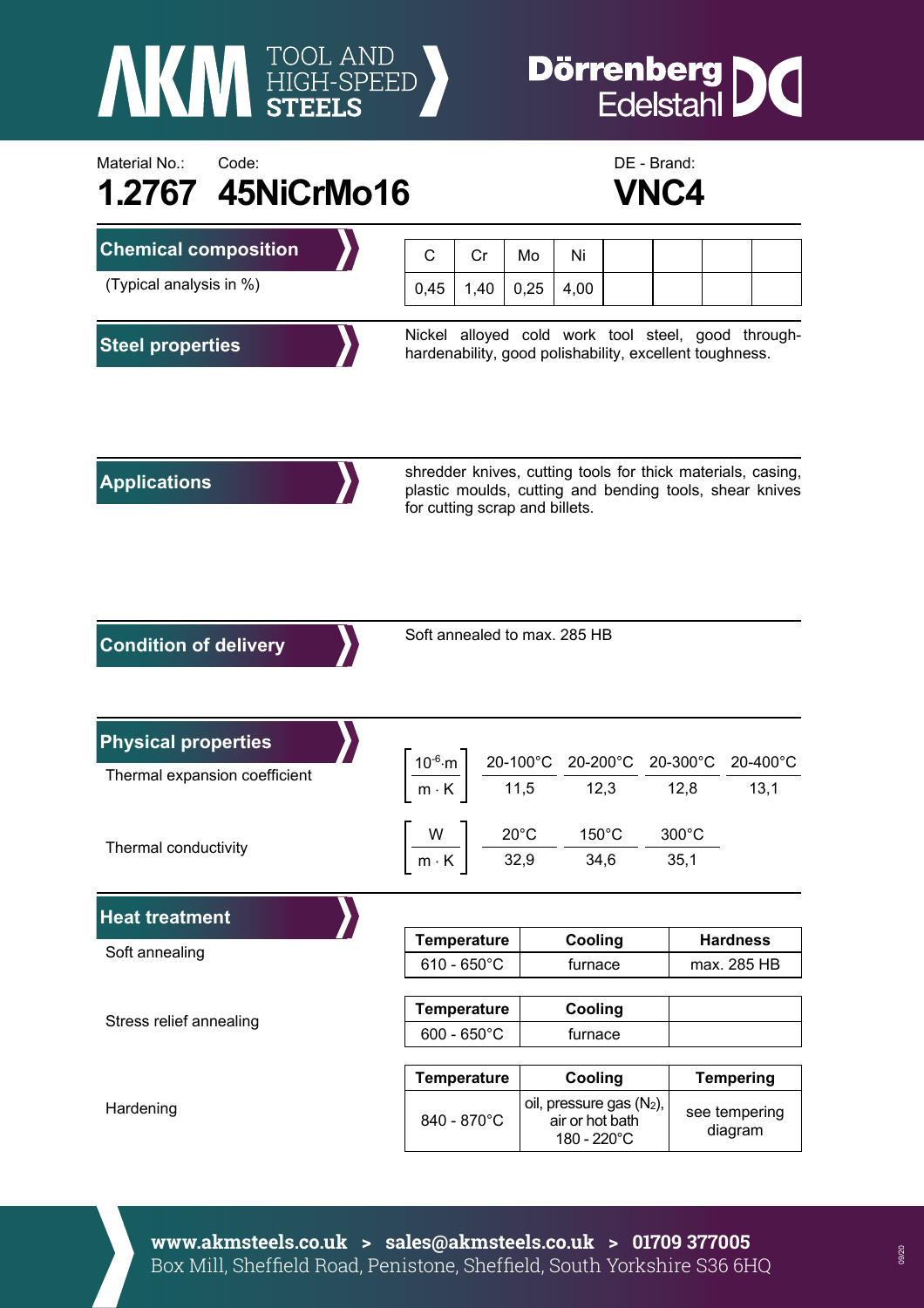

## **Dörrenberg**<br>Edelstahl IC

## Material No.: Code: Code: Code: Code: Communication: Code: DE - Brand: DE - Brand: **1.2767 45NiCrMo16 VNC4**



| <b>Chemical composition</b>   | C                                                                                                                                                        | Cr   | Mo   | Ni                                                                                                                                                  |  |  |                          |  |                  |
|-------------------------------|----------------------------------------------------------------------------------------------------------------------------------------------------------|------|------|-----------------------------------------------------------------------------------------------------------------------------------------------------|--|--|--------------------------|--|------------------|
| (Typical analysis in %)       | 0,45                                                                                                                                                     | 1,40 | 0,25 | 4,00                                                                                                                                                |  |  |                          |  |                  |
| <b>Steel properties</b>       | Nickel alloyed cold work tool steel, good through-<br>hardenability, good polishability, excellent toughness.                                            |      |      |                                                                                                                                                     |  |  |                          |  |                  |
| <b>Applications</b>           | shredder knives, cutting tools for thick materials, casing,<br>plastic moulds, cutting and bending tools, shear knives<br>for cutting scrap and billets. |      |      |                                                                                                                                                     |  |  |                          |  |                  |
| <b>Condition of delivery</b>  | Soft annealed to max. 285 HB                                                                                                                             |      |      |                                                                                                                                                     |  |  |                          |  |                  |
| <b>Physical properties</b>    |                                                                                                                                                          |      |      |                                                                                                                                                     |  |  |                          |  |                  |
| Thermal expansion coefficient |                                                                                                                                                          |      |      | $\left\lceil \frac{10^{-6} \cdot m}{m \cdot K} \right\rceil \frac{20-100^{\circ}C}{11,5} \frac{20-200^{\circ}C}{12,3} \frac{20-300^{\circ}C}{12,8}$ |  |  |                          |  | 20-400°C<br>13,1 |
| Thermal conductivity          |                                                                                                                                                          |      |      | $\left\lceil \frac{W}{m\cdot K} \right\rceil$ $\frac{20^{\circ}C}{32.9}$ $\frac{150^{\circ}C}{34.6}$ -                                              |  |  | $300^{\circ}$ C<br>35,1  |  |                  |
| <b>Heat treatment</b>         |                                                                                                                                                          |      |      |                                                                                                                                                     |  |  |                          |  |                  |
| Soft annealing                | <b>Temperature</b>                                                                                                                                       |      |      | Cooling                                                                                                                                             |  |  | <b>Hardness</b>          |  |                  |
|                               | $610 - 650^{\circ}$ C                                                                                                                                    |      |      | furnace                                                                                                                                             |  |  | max. 285 HB              |  |                  |
| Stress relief annealing       | <b>Temperature</b>                                                                                                                                       |      |      | Cooling                                                                                                                                             |  |  |                          |  |                  |
|                               | $600 - 650^{\circ}$ C                                                                                                                                    |      |      | furnace                                                                                                                                             |  |  |                          |  |                  |
|                               | <b>Temperature</b>                                                                                                                                       |      |      | Cooling                                                                                                                                             |  |  | <b>Tempering</b>         |  |                  |
| Hardening                     | 840 - 870°C                                                                                                                                              |      |      | oil, pressure gas (N2),<br>air or hot bath<br>180 - 220°C                                                                                           |  |  | see tempering<br>diagram |  |                  |

**www.akmsteels.co.uk > sales@akmsteels.co.uk > 01709 377005**  Box Mill, Sheffield Road, Penistone, Sheffield, South Yorkshire S36 6HQ